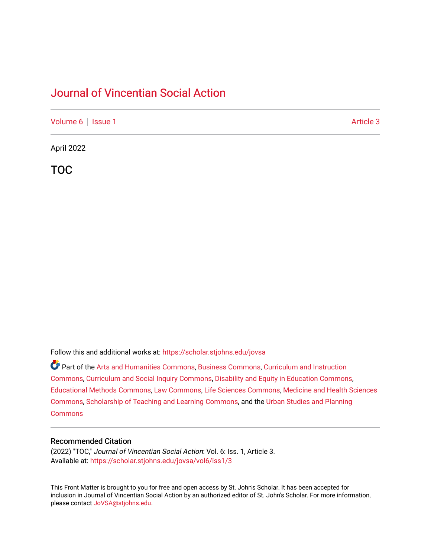## [Journal of Vincentian Social Action](https://scholar.stjohns.edu/jovsa)

[Volume 6](https://scholar.stjohns.edu/jovsa/vol6) | [Issue 1](https://scholar.stjohns.edu/jovsa/vol6/iss1) Article 3

April 2022

TOC

Follow this and additional works at: [https://scholar.stjohns.edu/jovsa](https://scholar.stjohns.edu/jovsa?utm_source=scholar.stjohns.edu%2Fjovsa%2Fvol6%2Fiss1%2F3&utm_medium=PDF&utm_campaign=PDFCoverPages) 

Part of the [Arts and Humanities Commons,](http://network.bepress.com/hgg/discipline/438?utm_source=scholar.stjohns.edu%2Fjovsa%2Fvol6%2Fiss1%2F3&utm_medium=PDF&utm_campaign=PDFCoverPages) [Business Commons](http://network.bepress.com/hgg/discipline/622?utm_source=scholar.stjohns.edu%2Fjovsa%2Fvol6%2Fiss1%2F3&utm_medium=PDF&utm_campaign=PDFCoverPages), [Curriculum and Instruction](http://network.bepress.com/hgg/discipline/786?utm_source=scholar.stjohns.edu%2Fjovsa%2Fvol6%2Fiss1%2F3&utm_medium=PDF&utm_campaign=PDFCoverPages)  [Commons](http://network.bepress.com/hgg/discipline/786?utm_source=scholar.stjohns.edu%2Fjovsa%2Fvol6%2Fiss1%2F3&utm_medium=PDF&utm_campaign=PDFCoverPages), [Curriculum and Social Inquiry Commons](http://network.bepress.com/hgg/discipline/1038?utm_source=scholar.stjohns.edu%2Fjovsa%2Fvol6%2Fiss1%2F3&utm_medium=PDF&utm_campaign=PDFCoverPages), [Disability and Equity in Education Commons,](http://network.bepress.com/hgg/discipline/1040?utm_source=scholar.stjohns.edu%2Fjovsa%2Fvol6%2Fiss1%2F3&utm_medium=PDF&utm_campaign=PDFCoverPages) [Educational Methods Commons,](http://network.bepress.com/hgg/discipline/1227?utm_source=scholar.stjohns.edu%2Fjovsa%2Fvol6%2Fiss1%2F3&utm_medium=PDF&utm_campaign=PDFCoverPages) [Law Commons,](http://network.bepress.com/hgg/discipline/578?utm_source=scholar.stjohns.edu%2Fjovsa%2Fvol6%2Fiss1%2F3&utm_medium=PDF&utm_campaign=PDFCoverPages) [Life Sciences Commons](http://network.bepress.com/hgg/discipline/1016?utm_source=scholar.stjohns.edu%2Fjovsa%2Fvol6%2Fiss1%2F3&utm_medium=PDF&utm_campaign=PDFCoverPages), [Medicine and Health Sciences](http://network.bepress.com/hgg/discipline/648?utm_source=scholar.stjohns.edu%2Fjovsa%2Fvol6%2Fiss1%2F3&utm_medium=PDF&utm_campaign=PDFCoverPages) [Commons](http://network.bepress.com/hgg/discipline/648?utm_source=scholar.stjohns.edu%2Fjovsa%2Fvol6%2Fiss1%2F3&utm_medium=PDF&utm_campaign=PDFCoverPages), [Scholarship of Teaching and Learning Commons](http://network.bepress.com/hgg/discipline/1328?utm_source=scholar.stjohns.edu%2Fjovsa%2Fvol6%2Fiss1%2F3&utm_medium=PDF&utm_campaign=PDFCoverPages), and the [Urban Studies and Planning](http://network.bepress.com/hgg/discipline/436?utm_source=scholar.stjohns.edu%2Fjovsa%2Fvol6%2Fiss1%2F3&utm_medium=PDF&utm_campaign=PDFCoverPages)  **[Commons](http://network.bepress.com/hgg/discipline/436?utm_source=scholar.stjohns.edu%2Fjovsa%2Fvol6%2Fiss1%2F3&utm_medium=PDF&utm_campaign=PDFCoverPages)** 

#### Recommended Citation

(2022) "TOC," Journal of Vincentian Social Action: Vol. 6: Iss. 1, Article 3. Available at: [https://scholar.stjohns.edu/jovsa/vol6/iss1/3](https://scholar.stjohns.edu/jovsa/vol6/iss1/3?utm_source=scholar.stjohns.edu%2Fjovsa%2Fvol6%2Fiss1%2F3&utm_medium=PDF&utm_campaign=PDFCoverPages) 

This Front Matter is brought to you for free and open access by St. John's Scholar. It has been accepted for inclusion in Journal of Vincentian Social Action by an authorized editor of St. John's Scholar. For more information, please contact [JoVSA@stjohns.edu.](mailto:JoVSA@stjohns.edu)